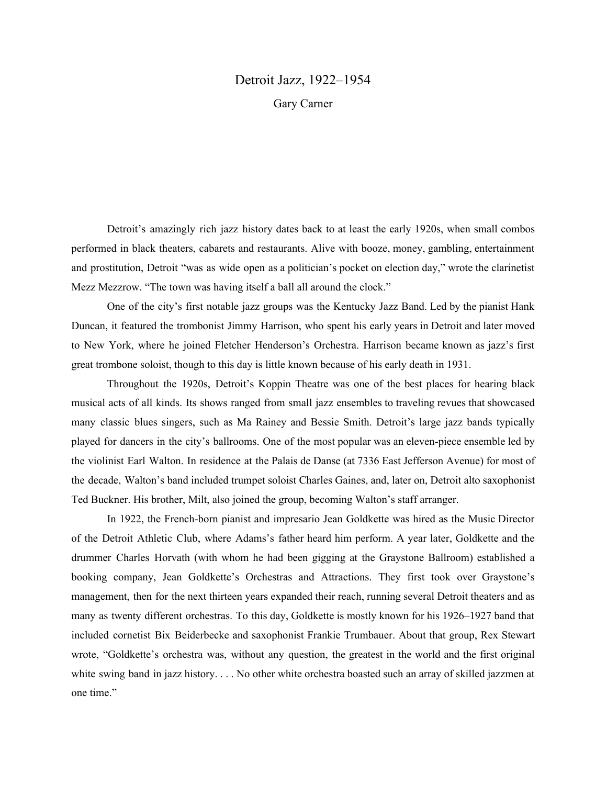## Detroit Jazz, 1922–1954 Gary Carner

Detroit's amazingly rich jazz history dates back to at least the early 1920s, when small combos performed in black theaters, cabarets and restaurants. Alive with booze, money, gambling, entertainment and prostitution, Detroit "was as wide open as a politician's pocket on election day," wrote the clarinetist Mezz Mezzrow. "The town was having itself a ball all around the clock."

One of the city's first notable jazz groups was the Kentucky Jazz Band. Led by the pianist Hank Duncan, it featured the trombonist Jimmy Harrison, who spent his early years in Detroit and later moved to New York, where he joined Fletcher Henderson's Orchestra. Harrison became known as jazz's first great trombone soloist, though to this day is little known because of his early death in 1931.

Throughout the 1920s, Detroit's Koppin Theatre was one of the best places for hearing black musical acts of all kinds. Its shows ranged from small jazz ensembles to traveling revues that showcased many classic blues singers, such as Ma Rainey and Bessie Smith. Detroit's large jazz bands typically played for dancers in the city's ballrooms. One of the most popular was an eleven-piece ensemble led by the violinist Earl Walton. In residence at the Palais de Danse (at 7336 East Jefferson Avenue) for most of the decade, Walton's band included trumpet soloist Charles Gaines, and, later on, Detroit alto saxophonist Ted Buckner. His brother, Milt, also joined the group, becoming Walton's staff arranger.

In 1922, the French-born pianist and impresario Jean Goldkette was hired as the Music Director of the Detroit Athletic Club, where Adams's father heard him perform. A year later, Goldkette and the drummer Charles Horvath (with whom he had been gigging at the Graystone Ballroom) established a booking company, Jean Goldkette's Orchestras and Attractions. They first took over Graystone's management, then for the next thirteen years expanded their reach, running several Detroit theaters and as many as twenty different orchestras. To this day, Goldkette is mostly known for his 1926–1927 band that included cornetist Bix Beiderbecke and saxophonist Frankie Trumbauer. About that group, Rex Stewart wrote, "Goldkette's orchestra was, without any question, the greatest in the world and the first original white swing band in jazz history. . . . No other white orchestra boasted such an array of skilled jazzmen at one time."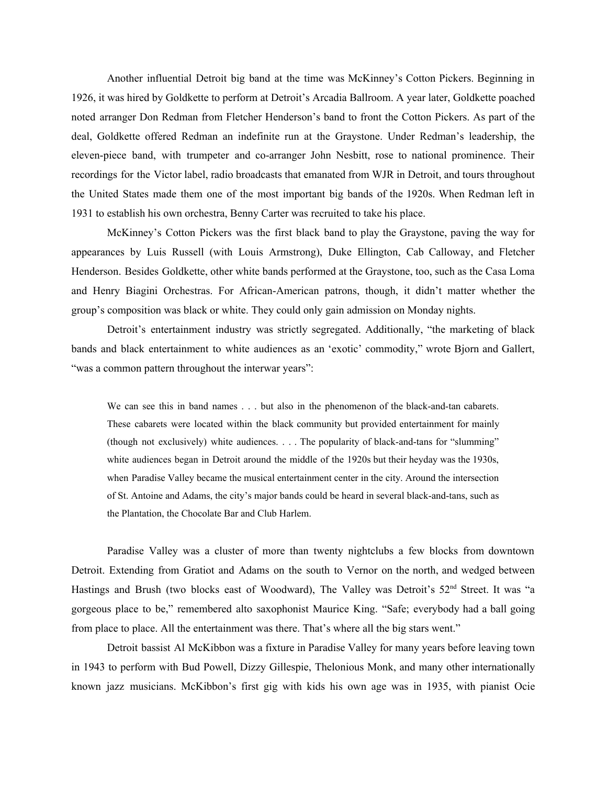Another influential Detroit big band at the time was McKinney's Cotton Pickers. Beginning in 1926, it was hired by Goldkette to perform at Detroit's Arcadia Ballroom. A year later, Goldkette poached noted arranger Don Redman from Fletcher Henderson's band to front the Cotton Pickers. As part of the deal, Goldkette offered Redman an indefinite run at the Graystone. Under Redman's leadership, the eleven-piece band, with trumpeter and co-arranger John Nesbitt, rose to national prominence. Their recordings for the Victor label, radio broadcasts that emanated from WJR in Detroit, and tours throughout the United States made them one of the most important big bands of the 1920s. When Redman left in 1931 to establish his own orchestra, Benny Carter was recruited to take his place.

McKinney's Cotton Pickers was the first black band to play the Graystone, paving the way for appearances by Luis Russell (with Louis Armstrong), Duke Ellington, Cab Calloway, and Fletcher Henderson. Besides Goldkette, other white bands performed at the Graystone, too, such as the Casa Loma and Henry Biagini Orchestras. For African-American patrons, though, it didn't matter whether the group's composition was black or white. They could only gain admission on Monday nights.

Detroit's entertainment industry was strictly segregated. Additionally, "the marketing of black bands and black entertainment to white audiences as an 'exotic' commodity," wrote Bjorn and Gallert, "was a common pattern throughout the interwar years":

We can see this in band names . . . but also in the phenomenon of the black-and-tan cabarets. These cabarets were located within the black community but provided entertainment for mainly (though not exclusively) white audiences. . . . The popularity of black-and-tans for "slumming" white audiences began in Detroit around the middle of the 1920s but their heyday was the 1930s, when Paradise Valley became the musical entertainment center in the city. Around the intersection of St. Antoine and Adams, the city's major bands could be heard in several black-and-tans, such as the Plantation, the Chocolate Bar and Club Harlem.

Paradise Valley was a cluster of more than twenty nightclubs a few blocks from downtown Detroit. Extending from Gratiot and Adams on the south to Vernor on the north, and wedged between Hastings and Brush (two blocks east of Woodward), The Valley was Detroit's 52<sup>nd</sup> Street. It was "a gorgeous place to be," remembered alto saxophonist Maurice King. "Safe; everybody had a ball going from place to place. All the entertainment was there. That's where all the big stars went."

Detroit bassist Al McKibbon was a fixture in Paradise Valley for many years before leaving town in 1943 to perform with Bud Powell, Dizzy Gillespie, Thelonious Monk, and many other internationally known jazz musicians. McKibbon's first gig with kids his own age was in 1935, with pianist Ocie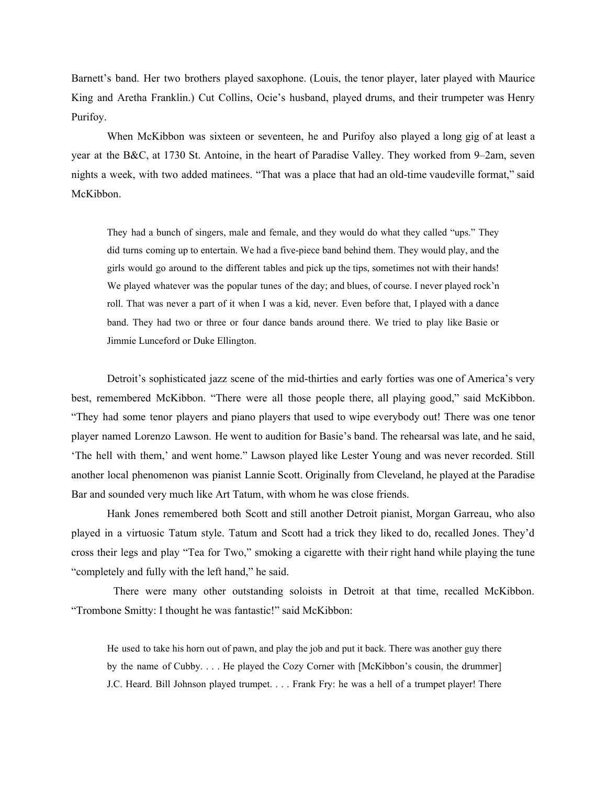Barnett's band. Her two brothers played saxophone. (Louis, the tenor player, later played with Maurice King and Aretha Franklin.) Cut Collins, Ocie's husband, played drums, and their trumpeter was Henry Purifoy.

When McKibbon was sixteen or seventeen, he and Purifoy also played a long gig of at least a year at the B&C, at 1730 St. Antoine, in the heart of Paradise Valley. They worked from 9–2am, seven nights a week, with two added matinees. "That was a place that had an old-time vaudeville format," said McKibbon.

They had a bunch of singers, male and female, and they would do what they called "ups." They did turns coming up to entertain. We had a five-piece band behind them. They would play, and the girls would go around to the different tables and pick up the tips, sometimes not with their hands! We played whatever was the popular tunes of the day; and blues, of course. I never played rock'n roll. That was never a part of it when I was a kid, never. Even before that, I played with a dance band. They had two or three or four dance bands around there. We tried to play like Basie or Jimmie Lunceford or Duke Ellington.

Detroit's sophisticated jazz scene of the mid-thirties and early forties was one of America's very best, remembered McKibbon. "There were all those people there, all playing good," said McKibbon. "They had some tenor players and piano players that used to wipe everybody out! There was one tenor player named Lorenzo Lawson. He went to audition for Basie's band. The rehearsal was late, and he said, 'The hell with them,' and went home." Lawson played like Lester Young and was never recorded. Still another local phenomenon was pianist Lannie Scott. Originally from Cleveland, he played at the Paradise Bar and sounded very much like Art Tatum, with whom he was close friends.

Hank Jones remembered both Scott and still another Detroit pianist, Morgan Garreau, who also played in a virtuosic Tatum style. Tatum and Scott had a trick they liked to do, recalled Jones. They'd cross their legs and play "Tea for Two," smoking a cigarette with their right hand while playing the tune "completely and fully with the left hand," he said.

There were many other outstanding soloists in Detroit at that time, recalled McKibbon. "Trombone Smitty: I thought he was fantastic!" said McKibbon:

He used to take his horn out of pawn, and play the job and put it back. There was another guy there by the name of Cubby. . . . He played the Cozy Corner with [McKibbon's cousin, the drummer] J.C. Heard. Bill Johnson played trumpet. . . . Frank Fry: he was a hell of a trumpet player! There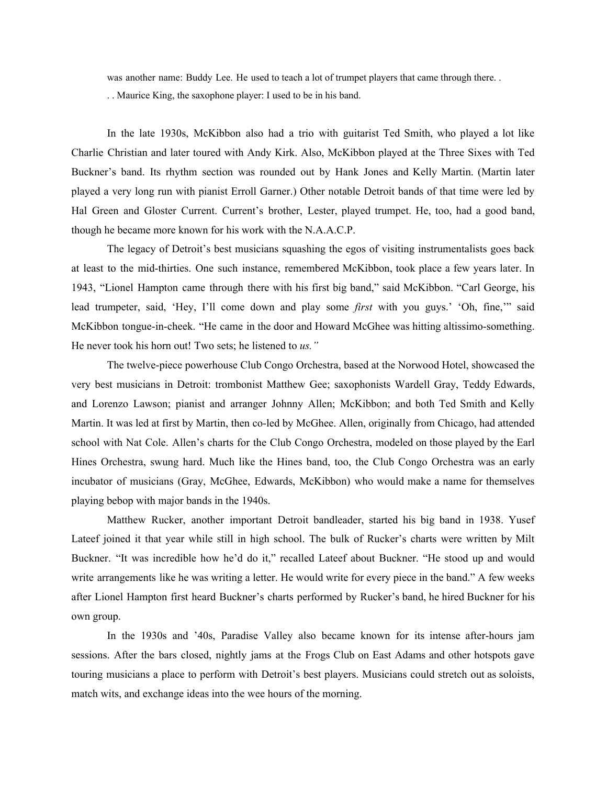was another name: Buddy Lee. He used to teach a lot of trumpet players that came through there. .

. . Maurice King, the saxophone player: I used to be in his band.

In the late 1930s, McKibbon also had a trio with guitarist Ted Smith, who played a lot like Charlie Christian and later toured with Andy Kirk. Also, McKibbon played at the Three Sixes with Ted Buckner's band. Its rhythm section was rounded out by Hank Jones and Kelly Martin. (Martin later played a very long run with pianist Erroll Garner.) Other notable Detroit bands of that time were led by Hal Green and Gloster Current. Current's brother, Lester, played trumpet. He, too, had a good band, though he became more known for his work with the N.A.A.C.P.

The legacy of Detroit's best musicians squashing the egos of visiting instrumentalists goes back at least to the mid-thirties. One such instance, remembered McKibbon, took place a few years later. In 1943, "Lionel Hampton came through there with his first big band," said McKibbon. "Carl George, his lead trumpeter, said, 'Hey, I'll come down and play some *first* with you guys.' 'Oh, fine,'" said McKibbon tongue-in-cheek. "He came in the door and Howard McGhee was hitting altissimo-something. He never took his horn out! Two sets; he listened to *us."*

The twelve-piece powerhouse Club Congo Orchestra, based at the Norwood Hotel, showcased the very best musicians in Detroit: trombonist Matthew Gee; saxophonists Wardell Gray, Teddy Edwards, and Lorenzo Lawson; pianist and arranger Johnny Allen; McKibbon; and both Ted Smith and Kelly Martin. It was led at first by Martin, then co-led by McGhee. Allen, originally from Chicago, had attended school with Nat Cole. Allen's charts for the Club Congo Orchestra, modeled on those played by the Earl Hines Orchestra, swung hard. Much like the Hines band, too, the Club Congo Orchestra was an early incubator of musicians (Gray, McGhee, Edwards, McKibbon) who would make a name for themselves playing bebop with major bands in the 1940s.

Matthew Rucker, another important Detroit bandleader, started his big band in 1938. Yusef Lateef joined it that year while still in high school. The bulk of Rucker's charts were written by Milt Buckner. "It was incredible how he'd do it," recalled Lateef about Buckner. "He stood up and would write arrangements like he was writing a letter. He would write for every piece in the band." A few weeks after Lionel Hampton first heard Buckner's charts performed by Rucker's band, he hired Buckner for his own group.

In the 1930s and '40s, Paradise Valley also became known for its intense after-hours jam sessions. After the bars closed, nightly jams at the Frogs Club on East Adams and other hotspots gave touring musicians a place to perform with Detroit's best players. Musicians could stretch out as soloists, match wits, and exchange ideas into the wee hours of the morning.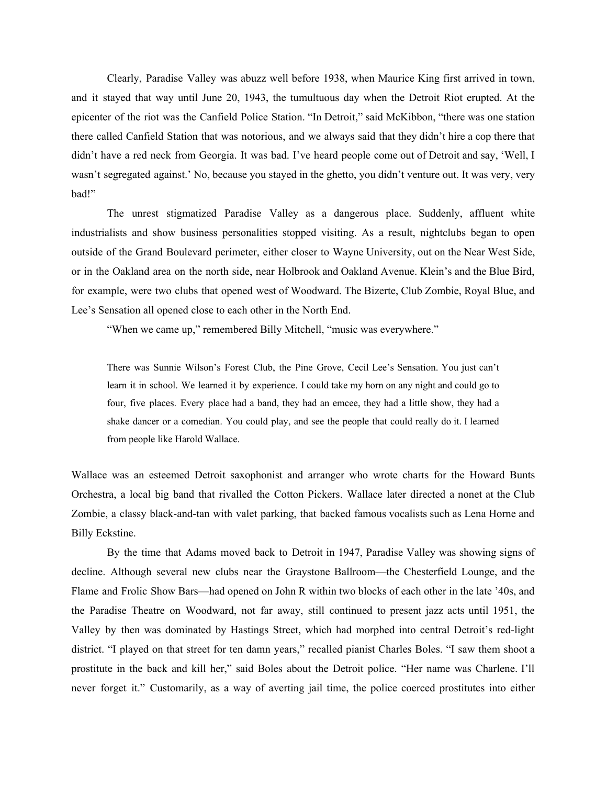Clearly, Paradise Valley was abuzz well before 1938, when Maurice King first arrived in town, and it stayed that way until June 20, 1943, the tumultuous day when the Detroit Riot erupted. At the epicenter of the riot was the Canfield Police Station. "In Detroit," said McKibbon, "there was one station there called Canfield Station that was notorious, and we always said that they didn't hire a cop there that didn't have a red neck from Georgia. It was bad. I've heard people come out of Detroit and say, 'Well, I wasn't segregated against.' No, because you stayed in the ghetto, you didn't venture out. It was very, very bad!"

The unrest stigmatized Paradise Valley as a dangerous place. Suddenly, affluent white industrialists and show business personalities stopped visiting. As a result, nightclubs began to open outside of the Grand Boulevard perimeter, either closer to Wayne University, out on the Near West Side, or in the Oakland area on the north side, near Holbrook and Oakland Avenue. Klein's and the Blue Bird, for example, were two clubs that opened west of Woodward. The Bizerte, Club Zombie, Royal Blue, and Lee's Sensation all opened close to each other in the North End.

"When we came up," remembered Billy Mitchell, "music was everywhere."

There was Sunnie Wilson's Forest Club, the Pine Grove, Cecil Lee's Sensation. You just can't learn it in school. We learned it by experience. I could take my horn on any night and could go to four, five places. Every place had a band, they had an emcee, they had a little show, they had a shake dancer or a comedian. You could play, and see the people that could really do it. I learned from people like Harold Wallace.

Wallace was an esteemed Detroit saxophonist and arranger who wrote charts for the Howard Bunts Orchestra, a local big band that rivalled the Cotton Pickers. Wallace later directed a nonet at the Club Zombie, a classy black-and-tan with valet parking, that backed famous vocalists such as Lena Horne and Billy Eckstine.

By the time that Adams moved back to Detroit in 1947, Paradise Valley was showing signs of decline. Although several new clubs near the Graystone Ballroom—the Chesterfield Lounge, and the Flame and Frolic Show Bars—had opened on John R within two blocks of each other in the late '40s, and the Paradise Theatre on Woodward, not far away, still continued to present jazz acts until 1951, the Valley by then was dominated by Hastings Street, which had morphed into central Detroit's red-light district. "I played on that street for ten damn years," recalled pianist Charles Boles. "I saw them shoot a prostitute in the back and kill her," said Boles about the Detroit police. "Her name was Charlene. I'll never forget it." Customarily, as a way of averting jail time, the police coerced prostitutes into either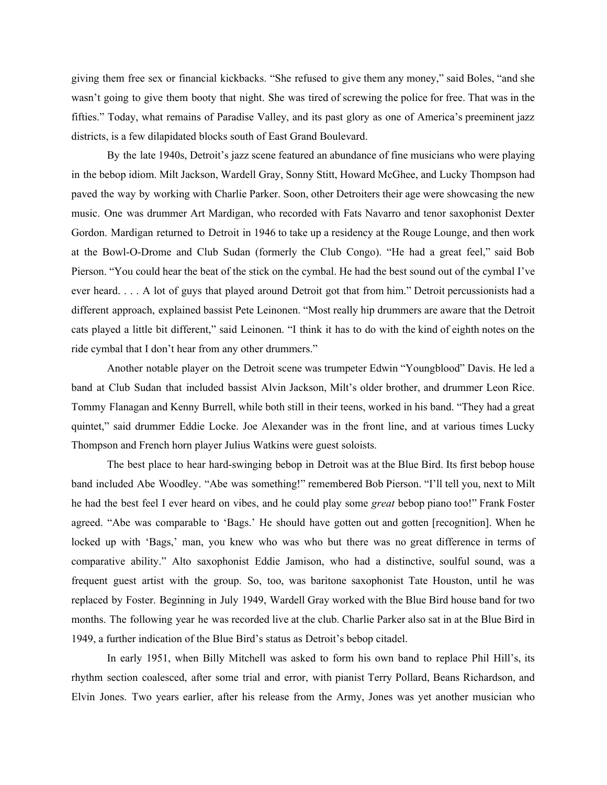giving them free sex or financial kickbacks. "She refused to give them any money," said Boles, "and she wasn't going to give them booty that night. She was tired of screwing the police for free. That was in the fifties." Today, what remains of Paradise Valley, and its past glory as one of America's preeminent jazz districts, is a few dilapidated blocks south of East Grand Boulevard.

By the late 1940s, Detroit's jazz scene featured an abundance of fine musicians who were playing in the bebop idiom. Milt Jackson, Wardell Gray, Sonny Stitt, Howard McGhee, and Lucky Thompson had paved the way by working with Charlie Parker. Soon, other Detroiters their age were showcasing the new music. One was drummer Art Mardigan, who recorded with Fats Navarro and tenor saxophonist Dexter Gordon. Mardigan returned to Detroit in 1946 to take up a residency at the Rouge Lounge, and then work at the Bowl-O-Drome and Club Sudan (formerly the Club Congo). "He had a great feel," said Bob Pierson. "You could hear the beat of the stick on the cymbal. He had the best sound out of the cymbal I've ever heard. . . . A lot of guys that played around Detroit got that from him." Detroit percussionists had a different approach, explained bassist Pete Leinonen. "Most really hip drummers are aware that the Detroit cats played a little bit different," said Leinonen. "I think it has to do with the kind of eighth notes on the ride cymbal that I don't hear from any other drummers."

Another notable player on the Detroit scene was trumpeter Edwin "Youngblood" Davis. He led a band at Club Sudan that included bassist Alvin Jackson, Milt's older brother, and drummer Leon Rice. Tommy Flanagan and Kenny Burrell, while both still in their teens, worked in his band. "They had a great quintet," said drummer Eddie Locke. Joe Alexander was in the front line, and at various times Lucky Thompson and French horn player Julius Watkins were guest soloists.

The best place to hear hard-swinging bebop in Detroit was at the Blue Bird. Its first bebop house band included Abe Woodley. "Abe was something!" remembered Bob Pierson. "I'll tell you, next to Milt he had the best feel I ever heard on vibes, and he could play some *great* bebop piano too!" Frank Foster agreed. "Abe was comparable to 'Bags.' He should have gotten out and gotten [recognition]. When he locked up with 'Bags,' man, you knew who was who but there was no great difference in terms of comparative ability." Alto saxophonist Eddie Jamison, who had a distinctive, soulful sound, was a frequent guest artist with the group. So, too, was baritone saxophonist Tate Houston, until he was replaced by Foster. Beginning in July 1949, Wardell Gray worked with the Blue Bird house band for two months. The following year he was recorded live at the club. Charlie Parker also sat in at the Blue Bird in 1949, a further indication of the Blue Bird's status as Detroit's bebop citadel.

In early 1951, when Billy Mitchell was asked to form his own band to replace Phil Hill's, its rhythm section coalesced, after some trial and error, with pianist Terry Pollard, Beans Richardson, and Elvin Jones. Two years earlier, after his release from the Army, Jones was yet another musician who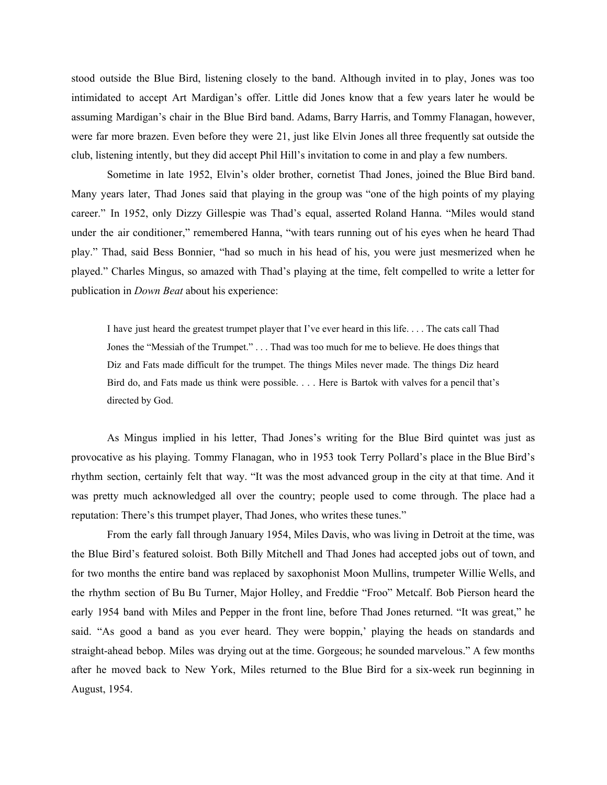stood outside the Blue Bird, listening closely to the band. Although invited in to play, Jones was too intimidated to accept Art Mardigan's offer. Little did Jones know that a few years later he would be assuming Mardigan's chair in the Blue Bird band. Adams, Barry Harris, and Tommy Flanagan, however, were far more brazen. Even before they were 21, just like Elvin Jones all three frequently sat outside the club, listening intently, but they did accept Phil Hill's invitation to come in and play a few numbers.

Sometime in late 1952, Elvin's older brother, cornetist Thad Jones, joined the Blue Bird band. Many years later, Thad Jones said that playing in the group was "one of the high points of my playing career." In 1952, only Dizzy Gillespie was Thad's equal, asserted Roland Hanna. "Miles would stand under the air conditioner," remembered Hanna, "with tears running out of his eyes when he heard Thad play." Thad, said Bess Bonnier, "had so much in his head of his, you were just mesmerized when he played." Charles Mingus, so amazed with Thad's playing at the time, felt compelled to write a letter for publication in *Down Beat* about his experience:

I have just heard the greatest trumpet player that I've ever heard in this life. . . . The cats call Thad Jones the "Messiah of the Trumpet." . . . Thad was too much for me to believe. He does things that Diz and Fats made difficult for the trumpet. The things Miles never made. The things Diz heard Bird do, and Fats made us think were possible. . . . Here is Bartok with valves for a pencil that's directed by God.

As Mingus implied in his letter, Thad Jones's writing for the Blue Bird quintet was just as provocative as his playing. Tommy Flanagan, who in 1953 took Terry Pollard's place in the Blue Bird's rhythm section, certainly felt that way. "It was the most advanced group in the city at that time. And it was pretty much acknowledged all over the country; people used to come through. The place had a reputation: There's this trumpet player, Thad Jones, who writes these tunes."

From the early fall through January 1954, Miles Davis, who was living in Detroit at the time, was the Blue Bird's featured soloist. Both Billy Mitchell and Thad Jones had accepted jobs out of town, and for two months the entire band was replaced by saxophonist Moon Mullins, trumpeter Willie Wells, and the rhythm section of Bu Bu Turner, Major Holley, and Freddie "Froo" Metcalf. Bob Pierson heard the early 1954 band with Miles and Pepper in the front line, before Thad Jones returned. "It was great," he said. "As good a band as you ever heard. They were boppin,' playing the heads on standards and straight-ahead bebop. Miles was drying out at the time. Gorgeous; he sounded marvelous." A few months after he moved back to New York, Miles returned to the Blue Bird for a six-week run beginning in August, 1954.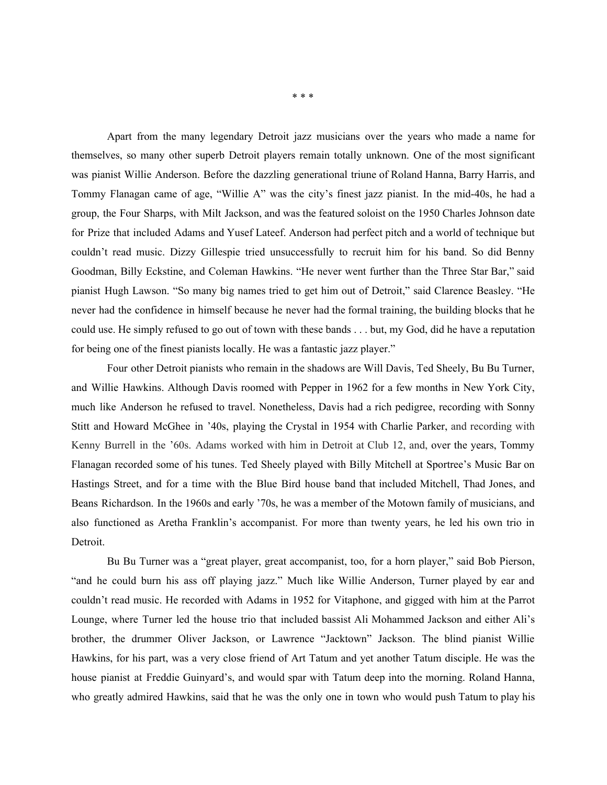Apart from the many legendary Detroit jazz musicians over the years who made a name for themselves, so many other superb Detroit players remain totally unknown. One of the most significant was pianist Willie Anderson. Before the dazzling generational triune of Roland Hanna, Barry Harris, and Tommy Flanagan came of age, "Willie A" was the city's finest jazz pianist. In the mid-40s, he had a group, the Four Sharps, with Milt Jackson, and was the featured soloist on the 1950 Charles Johnson date for Prize that included Adams and Yusef Lateef. Anderson had perfect pitch and a world of technique but couldn't read music. Dizzy Gillespie tried unsuccessfully to recruit him for his band. So did Benny Goodman, Billy Eckstine, and Coleman Hawkins. "He never went further than the Three Star Bar," said pianist Hugh Lawson. "So many big names tried to get him out of Detroit," said Clarence Beasley. "He never had the confidence in himself because he never had the formal training, the building blocks that he could use. He simply refused to go out of town with these bands . . . but, my God, did he have a reputation for being one of the finest pianists locally. He was a fantastic jazz player."

Four other Detroit pianists who remain in the shadows are Will Davis, Ted Sheely, Bu Bu Turner, and Willie Hawkins. Although Davis roomed with Pepper in 1962 for a few months in New York City, much like Anderson he refused to travel. Nonetheless, Davis had a rich pedigree, recording with Sonny Stitt and Howard McGhee in '40s, playing the Crystal in 1954 with Charlie Parker, and recording with Kenny Burrell in the '60s. Adams worked with him in Detroit at Club 12, and, over the years, Tommy Flanagan recorded some of his tunes. Ted Sheely played with Billy Mitchell at Sportree's Music Bar on Hastings Street, and for a time with the Blue Bird house band that included Mitchell, Thad Jones, and Beans Richardson. In the 1960s and early '70s, he was a member of the Motown family of musicians, and also functioned as Aretha Franklin's accompanist. For more than twenty years, he led his own trio in **Detroit** 

Bu Bu Turner was a "great player, great accompanist, too, for a horn player," said Bob Pierson, "and he could burn his ass off playing jazz." Much like Willie Anderson, Turner played by ear and couldn't read music. He recorded with Adams in 1952 for Vitaphone, and gigged with him at the Parrot Lounge, where Turner led the house trio that included bassist Ali Mohammed Jackson and either Ali's brother, the drummer Oliver Jackson, or Lawrence "Jacktown" Jackson. The blind pianist Willie Hawkins, for his part, was a very close friend of Art Tatum and yet another Tatum disciple. He was the house pianist at Freddie Guinyard's, and would spar with Tatum deep into the morning. Roland Hanna, who greatly admired Hawkins, said that he was the only one in town who would push Tatum to play his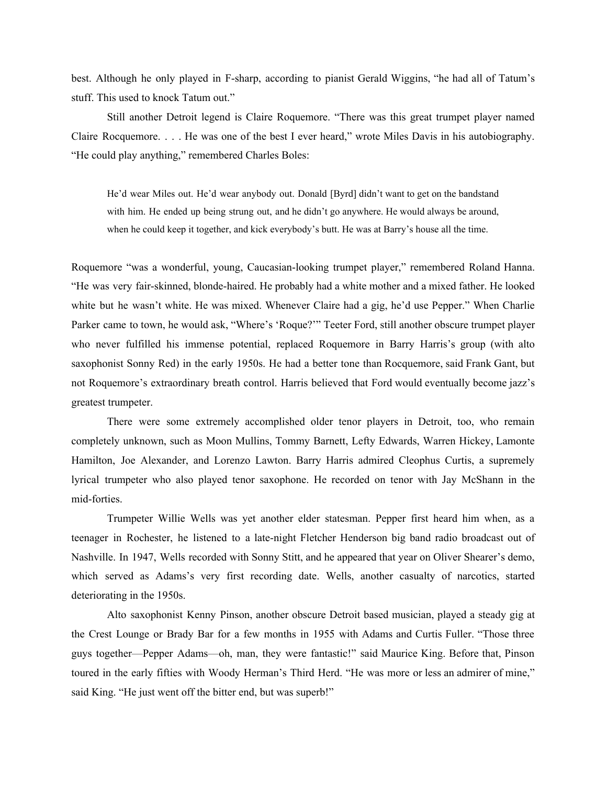best. Although he only played in F-sharp, according to pianist Gerald Wiggins, "he had all of Tatum's stuff. This used to knock Tatum out."

Still another Detroit legend is Claire Roquemore. "There was this great trumpet player named Claire Rocquemore. . . . He was one of the best I ever heard," wrote Miles Davis in his autobiography. "He could play anything," remembered Charles Boles:

He'd wear Miles out. He'd wear anybody out. Donald [Byrd] didn't want to get on the bandstand with him. He ended up being strung out, and he didn't go anywhere. He would always be around, when he could keep it together, and kick everybody's butt. He was at Barry's house all the time.

Roquemore "was a wonderful, young, Caucasian-looking trumpet player," remembered Roland Hanna. "He was very fair-skinned, blonde-haired. He probably had a white mother and a mixed father. He looked white but he wasn't white. He was mixed. Whenever Claire had a gig, he'd use Pepper." When Charlie Parker came to town, he would ask, "Where's 'Roque?'" Teeter Ford, still another obscure trumpet player who never fulfilled his immense potential, replaced Roquemore in Barry Harris's group (with alto saxophonist Sonny Red) in the early 1950s. He had a better tone than Rocquemore, said Frank Gant, but not Roquemore's extraordinary breath control. Harris believed that Ford would eventually become jazz's greatest trumpeter.

There were some extremely accomplished older tenor players in Detroit, too, who remain completely unknown, such as Moon Mullins, Tommy Barnett, Lefty Edwards, Warren Hickey, Lamonte Hamilton, Joe Alexander, and Lorenzo Lawton. Barry Harris admired Cleophus Curtis, a supremely lyrical trumpeter who also played tenor saxophone. He recorded on tenor with Jay McShann in the mid-forties.

Trumpeter Willie Wells was yet another elder statesman. Pepper first heard him when, as a teenager in Rochester, he listened to a late-night Fletcher Henderson big band radio broadcast out of Nashville. In 1947, Wells recorded with Sonny Stitt, and he appeared that year on Oliver Shearer's demo, which served as Adams's very first recording date. Wells, another casualty of narcotics, started deteriorating in the 1950s.

Alto saxophonist Kenny Pinson, another obscure Detroit based musician, played a steady gig at the Crest Lounge or Brady Bar for a few months in 1955 with Adams and Curtis Fuller. "Those three guys together—Pepper Adams—oh, man, they were fantastic!" said Maurice King. Before that, Pinson toured in the early fifties with Woody Herman's Third Herd. "He was more or less an admirer of mine," said King. "He just went off the bitter end, but was superb!"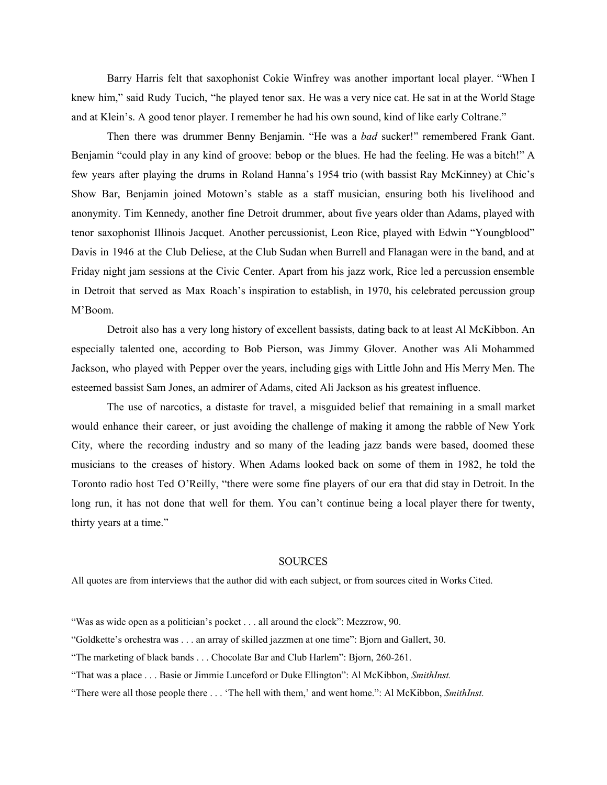Barry Harris felt that saxophonist Cokie Winfrey was another important local player. "When I knew him," said Rudy Tucich, "he played tenor sax. He was a very nice cat. He sat in at the World Stage and at Klein's. A good tenor player. I remember he had his own sound, kind of like early Coltrane."

Then there was drummer Benny Benjamin. "He was a *bad* sucker!" remembered Frank Gant. Benjamin "could play in any kind of groove: bebop or the blues. He had the feeling. He was a bitch!" A few years after playing the drums in Roland Hanna's 1954 trio (with bassist Ray McKinney) at Chic's Show Bar, Benjamin joined Motown's stable as a staff musician, ensuring both his livelihood and anonymity. Tim Kennedy, another fine Detroit drummer, about five years older than Adams, played with tenor saxophonist Illinois Jacquet. Another percussionist, Leon Rice, played with Edwin "Youngblood" Davis in 1946 at the Club Deliese, at the Club Sudan when Burrell and Flanagan were in the band, and at Friday night jam sessions at the Civic Center. Apart from his jazz work, Rice led a percussion ensemble in Detroit that served as Max Roach's inspiration to establish, in 1970, his celebrated percussion group M'Boom.

Detroit also has a very long history of excellent bassists, dating back to at least Al McKibbon. An especially talented one, according to Bob Pierson, was Jimmy Glover. Another was Ali Mohammed Jackson, who played with Pepper over the years, including gigs with Little John and His Merry Men. The esteemed bassist Sam Jones, an admirer of Adams, cited Ali Jackson as his greatest influence.

The use of narcotics, a distaste for travel, a misguided belief that remaining in a small market would enhance their career, or just avoiding the challenge of making it among the rabble of New York City, where the recording industry and so many of the leading jazz bands were based, doomed these musicians to the creases of history. When Adams looked back on some of them in 1982, he told the Toronto radio host Ted O'Reilly, "there were some fine players of our era that did stay in Detroit. In the long run, it has not done that well for them. You can't continue being a local player there for twenty, thirty years at a time."

## **SOURCES**

All quotes are from interviews that the author did with each subject, or from sources cited in Works Cited.

<sup>&</sup>quot;Was as wide open as a politician's pocket . . . all around the clock": Mezzrow, 90.

<sup>&</sup>quot;Goldkette's orchestra was . . . an array of skilled jazzmen at one time": Bjorn and Gallert, 30.

<sup>&</sup>quot;The marketing of black bands . . . Chocolate Bar and Club Harlem": Bjorn, 260-261.

<sup>&</sup>quot;That was a place . . . Basie or Jimmie Lunceford or Duke Ellington": Al McKibbon, *SmithInst.*

<sup>&</sup>quot;There were all those people there . . . 'The hell with them,' and went home.": Al McKibbon, *SmithInst.*